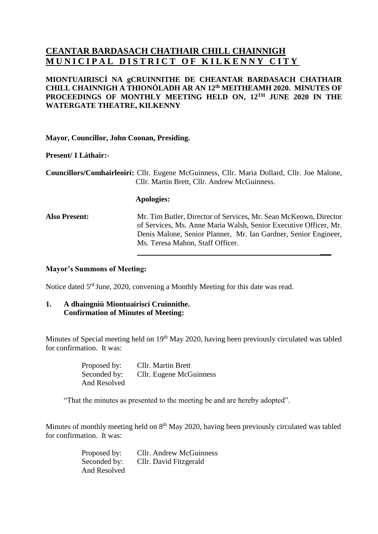## **CEANTAR BARDASACH CHATHAIR CHILL CHAINNIGH MUNICIPAL DISTRICT OF KILKENNY CITY**

## **MIONTUAIRISCÍ NA gCRUINNITHE DE CHEANTAR BARDASACH CHATHAIR CHILL CHAINNIGH A THIONÓLADH AR AN 12 th MEITHEAMH 2020. MINUTES OF PROCEEDINGS OF MONTHLY MEETING HELD ON, 12 TH JUNE 2020 IN THE WATERGATE THEATRE, KILKENNY**

**Mayor, Councillor, John Coonan, Presiding.**

**Present/ I Láthair:-**

**Councillors/Comhairleoirí:** Cllr. Eugene McGuinness, Cllr. Maria Dollard, Cllr. Joe Malone, Cllr. Martin Brett, Cllr. Andrew McGuinness.

#### **Apologies:**

**Also Present:** Mr. Tim Butler, Director of Services, Mr. Sean McKeown, Director of Services, Ms. Anne Maria Walsh, Senior Executive Officer, Mr. Denis Malone, Senior Planner, Mr. Ian Gardner, Senior Engineer, Ms. Teresa Mahon, Staff Officer. **\_\_\_**

### **Mayor's Summons of Meeting:**

Notice dated 5<sup>rd</sup> June, 2020, convening a Monthly Meeting for this date was read.

### **1. A dhaingniú Miontuairiscí Cruinnithe. Confirmation of Minutes of Meeting:**

Minutes of Special meeting held on 19<sup>th</sup> May 2020, having been previously circulated was tabled for confirmation. It was:

| Proposed by: | <b>Cllr.</b> Martin Brett |
|--------------|---------------------------|
| Seconded by: | Cllr. Eugene McGuinness   |
| And Resolved |                           |

"That the minutes as presented to the meeting be and are hereby adopted".

Minutes of monthly meeting held on 8<sup>th</sup> May 2020, having been previously circulated was tabled for confirmation. It was:

| Proposed by: | <b>Cllr.</b> Andrew McGuinness |
|--------------|--------------------------------|
| Seconded by: | Cllr. David Fitzgerald         |
| And Resolved |                                |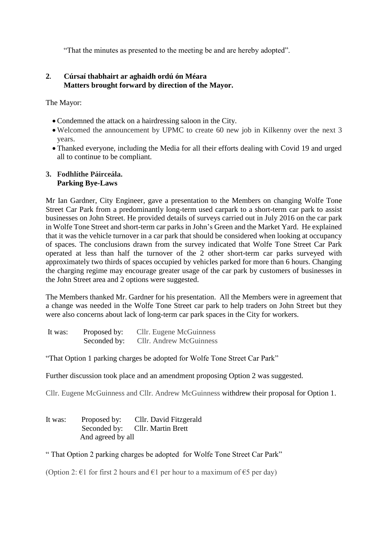"That the minutes as presented to the meeting be and are hereby adopted".

## **2. Cúrsaí thabhairt ar aghaidh ordú ón Méara Matters brought forward by direction of the Mayor.**

The Mayor:

- Condemned the attack on a hairdressing saloon in the City.
- Welcomed the announcement by UPMC to create 60 new job in Kilkenny over the next 3 years.
- Thanked everyone, including the Media for all their efforts dealing with Covid 19 and urged all to continue to be compliant.

### **3. Fodhlíthe Páirceála. Parking Bye-Laws**

Mr Ian Gardner, City Engineer, gave a presentation to the Members on changing Wolfe Tone Street Car Park from a predominantly long-term used carpark to a short-term car park to assist businesses on John Street. He provided details of surveys carried out in July 2016 on the car park in Wolfe Tone Street and short-term car parks in John's Green and the Market Yard. He explained that it was the vehicle turnover in a car park that should be considered when looking at occupancy of spaces. The conclusions drawn from the survey indicated that Wolfe Tone Street Car Park operated at less than half the turnover of the 2 other short-term car parks surveyed with approximately two thirds of spaces occupied by vehicles parked for more than 6 hours. Changing the charging regime may encourage greater usage of the car park by customers of businesses in the John Street area and 2 options were suggested.

The Members thanked Mr. Gardner for his presentation. All the Members were in agreement that a change was needed in the Wolfe Tone Street car park to help traders on John Street but they were also concerns about lack of long-term car park spaces in the City for workers.

| It was: | Proposed by: | Cllr. Eugene McGuinness |
|---------|--------------|-------------------------|
|         | Seconded by: | Cllr. Andrew McGuinness |

"That Option 1 parking charges be adopted for Wolfe Tone Street Car Park"

Further discussion took place and an amendment proposing Option 2 was suggested.

Cllr. Eugene McGuinness and Cllr. Andrew McGuinness withdrew their proposal for Option 1.

It was: Proposed by: Cllr. David Fitzgerald Seconded by: Cllr. Martin Brett And agreed by all

" That Option 2 parking charges be adopted for Wolfe Tone Street Car Park"

(Option 2:  $\epsilon$ 1 for first 2 hours and  $\epsilon$ 1 per hour to a maximum of  $\epsilon$ 5 per day)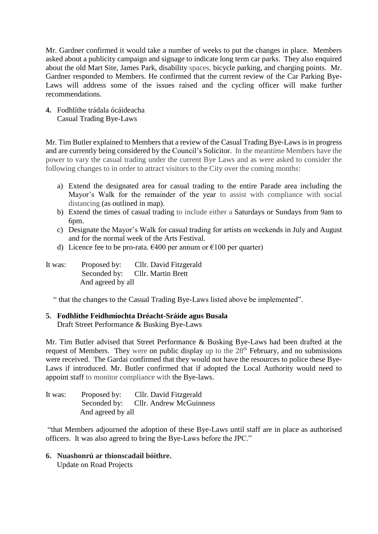Mr. Gardner confirmed it would take a number of weeks to put the changes in place. Members asked about a publicity campaign and signage to indicate long term car parks. They also enquired about the old Mart Site, James Park, disability spaces, bicycle parking, and charging points. Mr. Gardner responded to Members. He confirmed that the current review of the Car Parking Bye-Laws will address some of the issues raised and the cycling officer will make further recommendations.

**4.** Fodhlíthe trádala ócáideacha Casual Trading Bye-Laws

Mr. Tim Butler explained to Members that a review of the Casual Trading Bye-Laws is in progress and are currently being considered by the Council's Solicitor. In the meantime Members have the power to vary the casual trading under the current Bye Laws and as were asked to consider the following changes to in order to attract visitors to the City over the coming months:

- a) Extend the designated area for casual trading to the entire Parade area including the Mayor's Walk for the remainder of the year to assist with compliance with social distancing (as outlined in map).
- b) Extend the times of casual trading to include either a Saturdays or Sundays from 9am to 6pm.
- c) Designate the Mayor's Walk for casual trading for artists on weekends in July and August and for the normal week of the Arts Festival.
- d) Licence fee to be pro-rata.  $\epsilon$ 400 per annum or  $\epsilon$ 100 per quarter)
- It was: Proposed by: Cllr. David Fitzgerald Seconded by: Cllr. Martin Brett And agreed by all

" that the changes to the Casual Trading Bye-Laws listed above be implemented".

# **5. Fodhlíthe Feidhmíochta Dréacht-Sráide agus Busala**

Draft Street Performance & Busking Bye-Laws

Mr. Tim Butler advised that Street Performance & Busking Bye-Laws had been drafted at the request of Members. They were on public display up to the  $28<sup>th</sup>$  February, and no submissions were received. The Gardai confirmed that they would not have the resources to police these Bye-Laws if introduced. Mr. Butler confirmed that if adopted the Local Authority would need to appoint staff to monitor compliance with the Bye-laws.

| It was: | Proposed by:      | Cllr. David Fitzgerald               |
|---------|-------------------|--------------------------------------|
|         |                   | Seconded by: Cllr. Andrew McGuinness |
|         | And agreed by all |                                      |

"that Members adjourned the adoption of these Bye-Laws until staff are in place as authorised officers. It was also agreed to bring the Bye-Laws before the JPC."

**6. Nuashonrú ar thionscadail bóithre.** Update on Road Projects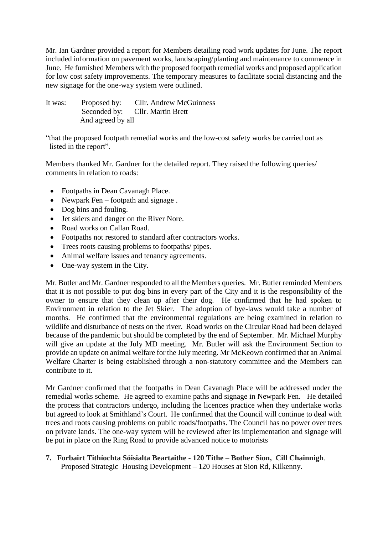Mr. Ian Gardner provided a report for Members detailing road work updates for June. The report included information on pavement works, landscaping/planting and maintenance to commence in June. He furnished Members with the proposed footpath remedial works and proposed application for low cost safety improvements. The temporary measures to facilitate social distancing and the new signage for the one-way system were outlined.

It was: Proposed by: Cllr. Andrew McGuinness Seconded by: Cllr. Martin Brett And agreed by all

"that the proposed footpath remedial works and the low-cost safety works be carried out as listed in the report".

Members thanked Mr. Gardner for the detailed report. They raised the following queries/ comments in relation to roads:

- Footpaths in Dean Cavanagh Place.
- Newpark Fen footpath and signage.
- Dog bins and fouling.
- Jet skiers and danger on the River Nore.
- Road works on Callan Road.
- Footpaths not restored to standard after contractors works.
- Trees roots causing problems to footpaths/ pipes.
- Animal welfare issues and tenancy agreements.
- One-way system in the City.

Mr. Butler and Mr. Gardner responded to all the Members queries. Mr. Butler reminded Members that it is not possible to put dog bins in every part of the City and it is the responsibility of the owner to ensure that they clean up after their dog. He confirmed that he had spoken to Environment in relation to the Jet Skier. The adoption of bye-laws would take a number of months. He confirmed that the environmental regulations are being examined in relation to wildlife and disturbance of nests on the river. Road works on the Circular Road had been delayed because of the pandemic but should be completed by the end of September. Mr. Michael Murphy will give an update at the July MD meeting. Mr. Butler will ask the Environment Section to provide an update on animal welfare for the July meeting. Mr McKeown confirmed that an Animal Welfare Charter is being established through a non-statutory committee and the Members can contribute to it.

Mr Gardner confirmed that the footpaths in Dean Cavanagh Place will be addressed under the remedial works scheme. He agreed to examine paths and signage in Newpark Fen. He detailed the process that contractors undergo, including the licences practice when they undertake works but agreed to look at Smithland's Court. He confirmed that the Council will continue to deal with trees and roots causing problems on public roads/footpaths. The Council has no power over trees on private lands. The one-way system will be reviewed after its implementation and signage will be put in place on the Ring Road to provide advanced notice to motorists

### **7. Forbairt Tithíochta Sóisialta Beartaithe - 120 Tithe – Bother Sion, Cill Chainnigh**. Proposed Strategic Housing Development – 120 Houses at Sion Rd, Kilkenny.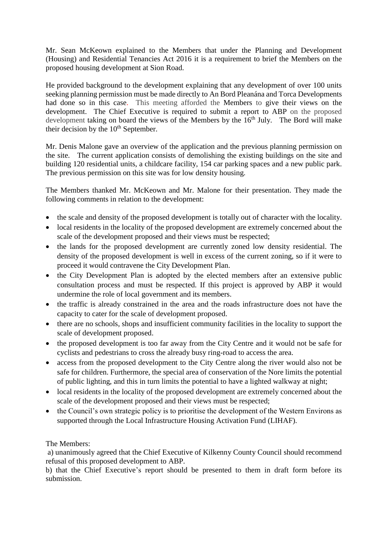Mr. Sean McKeown explained to the Members that under the Planning and Development (Housing) and Residential Tenancies Act 2016 it is a requirement to brief the Members on the proposed housing development at Sion Road.

He provided background to the development explaining that any development of over 100 units seeking planning permission must be made directly to An Bord Pleanána and Torca Developments had done so in this case. This meeting afforded the Members to give their views on the development. The Chief Executive is required to submit a report to ABP on the proposed development taking on board the views of the Members by the 16<sup>th</sup> July. The Bord will make their decision by the  $10<sup>th</sup>$  September.

Mr. Denis Malone gave an overview of the application and the previous planning permission on the site. The current application consists of demolishing the existing buildings on the site and building 120 residential units, a childcare facility, 154 car parking spaces and a new public park. The previous permission on this site was for low density housing.

The Members thanked Mr. McKeown and Mr. Malone for their presentation. They made the following comments in relation to the development:

- the scale and density of the proposed development is totally out of character with the locality.
- local residents in the locality of the proposed development are extremely concerned about the scale of the development proposed and their views must be respected;
- the lands for the proposed development are currently zoned low density residential. The density of the proposed development is well in excess of the current zoning, so if it were to proceed it would contravene the City Development Plan.
- the City Development Plan is adopted by the elected members after an extensive public consultation process and must be respected. If this project is approved by ABP it would undermine the role of local government and its members.
- the traffic is already constrained in the area and the roads infrastructure does not have the capacity to cater for the scale of development proposed.
- there are no schools, shops and insufficient community facilities in the locality to support the scale of development proposed.
- the proposed development is too far away from the City Centre and it would not be safe for cyclists and pedestrians to cross the already busy ring-road to access the area.
- access from the proposed development to the City Centre along the river would also not be safe for children. Furthermore, the special area of conservation of the Nore limits the potential of public lighting, and this in turn limits the potential to have a lighted walkway at night;
- local residents in the locality of the proposed development are extremely concerned about the scale of the development proposed and their views must be respected;
- the Council's own strategic policy is to prioritise the development of the Western Environs as supported through the Local Infrastructure Housing Activation Fund (LIHAF).

## The Members:

a) unanimously agreed that the Chief Executive of Kilkenny County Council should recommend refusal of this proposed development to ABP.

b) that the Chief Executive's report should be presented to them in draft form before its submission.